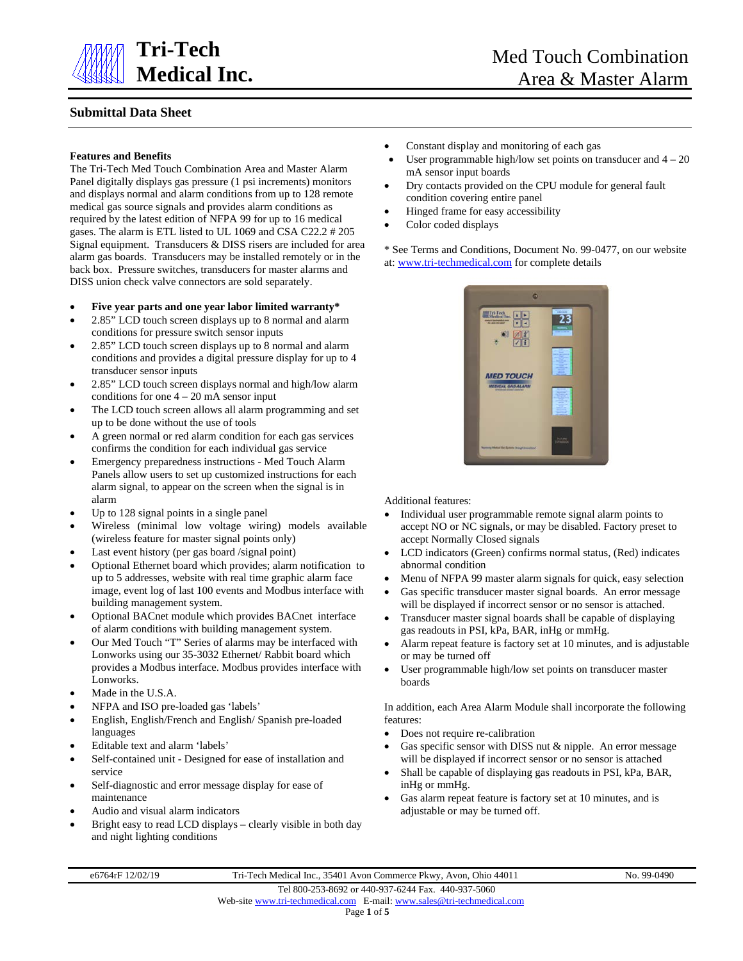

# **Submittal Data Sheet**

#### **Features and Benefits**

The Tri-Tech Med Touch Combination Area and Master Alarm Panel digitally displays gas pressure (1 psi increments) monitors and displays normal and alarm conditions from up to 128 remote medical gas source signals and provides alarm conditions as required by the latest edition of NFPA 99 for up to 16 medical gases. The alarm is ETL listed to UL 1069 and CSA C22.2 # 205 Signal equipment. Transducers & DISS risers are included for area alarm gas boards. Transducers may be installed remotely or in the back box. Pressure switches, transducers for master alarms and DISS union check valve connectors are sold separately.

#### • **Five year parts and one year labor limited warranty\***

- 2.85" LCD touch screen displays up to 8 normal and alarm conditions for pressure switch sensor inputs
- 2.85" LCD touch screen displays up to 8 normal and alarm conditions and provides a digital pressure display for up to 4 transducer sensor inputs
- 2.85" LCD touch screen displays normal and high/low alarm conditions for one  $4 - 20$  mA sensor input
- The LCD touch screen allows all alarm programming and set up to be done without the use of tools
- A green normal or red alarm condition for each gas services confirms the condition for each individual gas service
- Emergency preparedness instructions Med Touch Alarm Panels allow users to set up customized instructions for each alarm signal, to appear on the screen when the signal is in alarm
- Up to 128 signal points in a single panel
- Wireless (minimal low voltage wiring) models available (wireless feature for master signal points only)
- Last event history (per gas board /signal point)
- Optional Ethernet board which provides; alarm notification to up to 5 addresses, website with real time graphic alarm face image, event log of last 100 events and Modbus interface with building management system.
- Optional BACnet module which provides BACnet interface of alarm conditions with building management system.
- Our Med Touch "T" Series of alarms may be interfaced with Lonworks using our 35-3032 Ethernet/ Rabbit board which provides a Modbus interface. Modbus provides interface with Lonworks.
- Made in the U.S.A.
- NFPA and ISO pre-loaded gas 'labels'
- English, English/French and English/ Spanish pre-loaded languages
- Editable text and alarm 'labels'
- Self-contained unit Designed for ease of installation and service
- Self-diagnostic and error message display for ease of maintenance
- Audio and visual alarm indicators
- Bright easy to read LCD displays clearly visible in both day and night lighting conditions
- Constant display and monitoring of each gas
- User programmable high/low set points on transducer and  $4 20$ mA sensor input boards
- Dry contacts provided on the CPU module for general fault condition covering entire panel
- Hinged frame for easy accessibility
- Color coded displays

\* See Terms and Conditions, Document No. 99-0477, on our website at: [www.tri-techmedical.com](http://www.tri-techmedical.com/) for complete details



Additional features:

- Individual user programmable remote signal alarm points to accept NO or NC signals, or may be disabled. Factory preset to accept Normally Closed signals
- LCD indicators (Green) confirms normal status, (Red) indicates abnormal condition
- Menu of NFPA 99 master alarm signals for quick, easy selection
- Gas specific transducer master signal boards. An error message will be displayed if incorrect sensor or no sensor is attached.
- Transducer master signal boards shall be capable of displaying gas readouts in PSI, kPa, BAR, inHg or mmHg.
- Alarm repeat feature is factory set at 10 minutes, and is adjustable or may be turned off
- User programmable high/low set points on transducer master boards

In addition, each Area Alarm Module shall incorporate the following features:

- Does not require re-calibration
- Gas specific sensor with DISS nut & nipple. An error message will be displayed if incorrect sensor or no sensor is attached
- Shall be capable of displaying gas readouts in PSI, kPa, BAR, inHg or mmHg.
- Gas alarm repeat feature is factory set at 10 minutes, and is adjustable or may be turned off.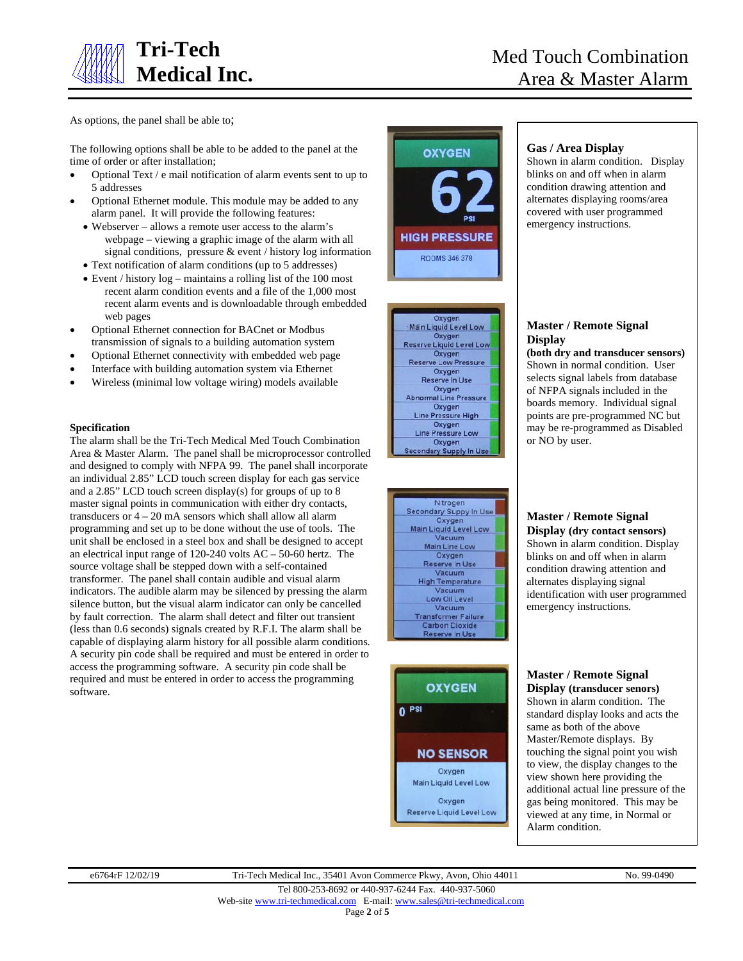

As options, the panel shall be able to;

The following options shall be able to be added to the panel at the time of order or after installation;

- Optional Text / e mail notification of alarm events sent to up to 5 addresses
- Optional Ethernet module. This module may be added to any alarm panel. It will provide the following features:
	- Webserver allows a remote user access to the alarm's webpage – viewing a graphic image of the alarm with all signal conditions, pressure & event / history log information
	- Text notification of alarm conditions (up to 5 addresses)
	- Event / history log maintains a rolling list of the 100 most recent alarm condition events and a file of the 1,000 most recent alarm events and is downloadable through embedded web pages
- Optional Ethernet connection for BACnet or Modbus transmission of signals to a building automation system
- Optional Ethernet connectivity with embedded web page
- Interface with building automation system via Ethernet
- Wireless (minimal low voltage wiring) models available

## **Specification**

The alarm shall be the Tri-Tech Medical Med Touch Combination Area & Master Alarm. The panel shall be microprocessor controlled and designed to comply with NFPA 99. The panel shall incorporate an individual 2.85" LCD touch screen display for each gas service and a 2.85" LCD touch screen display(s) for groups of up to 8 master signal points in communication with either dry contacts, transducers or  $4 - 20$  mA sensors which shall allow all alarm programming and set up to be done without the use of tools. The unit shall be enclosed in a steel box and shall be designed to accept an electrical input range of 120-240 volts AC – 50-60 hertz. The source voltage shall be stepped down with a self-contained transformer. The panel shall contain audible and visual alarm indicators. The audible alarm may be silenced by pressing the alarm silence button, but the visual alarm indicator can only be cancelled by fault correction. The alarm shall detect and filter out transient (less than 0.6 seconds) signals created by R.F.I. The alarm shall be capable of displaying alarm history for all possible alarm conditions. A security pin code shall be required and must be entered in order to access the programming software. A security pin code shall be required and must be entered in order to access the programming software.



Oxygen Main Liquid Level Low Oxygen<br>Reserve Liquid Level Low Oxygen<br>Reserve Low Pressure Oxygen Reserve In Use Oxygen<br>Abnormal Line Pressure Oxygen Line Pressure High Oxygen Line Pressure Low Oxygen **Secondary Supply In Use** 





## **Gas / Area Display**

Shown in alarm condition. Display blinks on and off when in alarm condition drawing attention and alternates displaying rooms/area covered with user programmed emergency instructions.



#### points are pre-programmed NC but may be re-programmed as Disabled or NO by user.

**Master / Remote Signal** 

**(both dry and transducer sensors)** Shown in normal condition. User selects signal labels from database of NFPA signals included in the boards memory. Individual signal

**Display**

# **Master / Remote Signal Display (dry contact sensors)**

Shown in alarm condition. Display blinks on and off when in alarm condition drawing attention and alternates displaying signal identification with user programmed emergency instructions.

#### **Master / Remote Signal Display (transducer senors)**

Shown in alarm condition. The standard display looks and acts the same as both of the above Master/Remote displays. By touching the signal point you wish to view, the display changes to the view shown here providing the additional actual line pressure of the gas being monitored. This may be viewed at any time, in Normal or Alarm condition.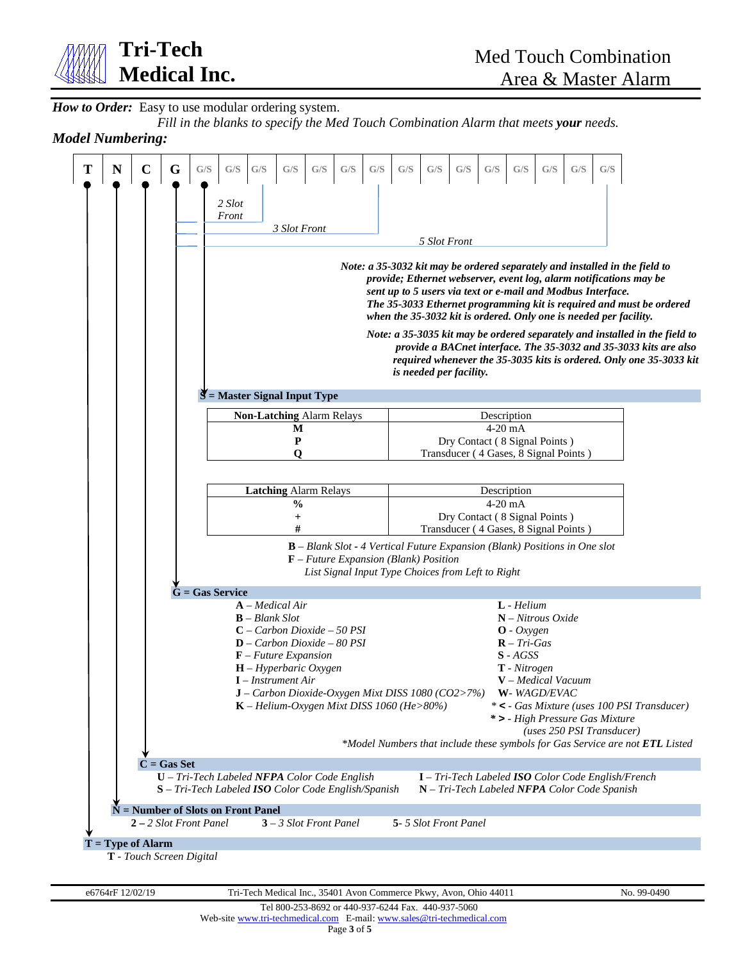

How to Order: Easy to use modular ordering system.

*Fill in the blanks to specify the Med Touch Combination Alarm that meets your needs.*

# *Model Numbering:*

| $\mathbf C$<br>G<br>N                | G/S<br>G/S<br>G/S<br>$\mathrm{G}/\mathrm{S}$<br>G/S<br>G/S<br>G/S<br>2 Slot<br>Front<br>3 Slot Front                                                                                                                                                                                                     | G/S<br>G/S<br>G/S<br>G/S<br>G/S<br>G/S<br>G/S<br>G/S                                                                                                                                                                                                                                                                                                                          |  |
|--------------------------------------|----------------------------------------------------------------------------------------------------------------------------------------------------------------------------------------------------------------------------------------------------------------------------------------------------------|-------------------------------------------------------------------------------------------------------------------------------------------------------------------------------------------------------------------------------------------------------------------------------------------------------------------------------------------------------------------------------|--|
|                                      |                                                                                                                                                                                                                                                                                                          | 5 Slot Front<br>Note: a 35-3032 kit may be ordered separately and installed in the field to<br>provide; Ethernet webserver, event log, alarm notifications may be<br>sent up to 5 users via text or e-mail and Modbus Interface.<br>The 35-3033 Ethernet programming kit is required and must be ordered<br>when the 35-3032 kit is ordered. Only one is needed per facility. |  |
|                                      | $\mathbf{S}$ = Master Signal Input Type                                                                                                                                                                                                                                                                  | Note: a 35-3035 kit may be ordered separately and installed in the field to<br>provide a BACnet interface. The 35-3032 and 35-3033 kits are also<br>required whenever the 35-3035 kits is ordered. Only one 35-3033 kit<br>is needed per facility.                                                                                                                            |  |
|                                      |                                                                                                                                                                                                                                                                                                          |                                                                                                                                                                                                                                                                                                                                                                               |  |
|                                      | <b>Non-Latching Alarm Relays</b><br>M<br>P<br>O                                                                                                                                                                                                                                                          | Description<br>$4-20$ mA<br>Dry Contact (8 Signal Points)<br>Transducer (4 Gases, 8 Signal Points)                                                                                                                                                                                                                                                                            |  |
|                                      | <b>Latching Alarm Relays</b><br>$\frac{0}{0}$<br>$^{+}$<br>$\mathbf{F}$ – Future Expansion (Blank) Position                                                                                                                                                                                              | Description<br>$4-20$ mA<br>Dry Contact (8 Signal Points)<br>Transducer (4 Gases, 8 Signal Points)<br>$\bf{B}$ – Blank Slot - 4 Vertical Future Expansion (Blank) Positions in One slot                                                                                                                                                                                       |  |
|                                      |                                                                                                                                                                                                                                                                                                          | List Signal Input Type Choices from Left to Right                                                                                                                                                                                                                                                                                                                             |  |
|                                      | $G = Gas$ Service                                                                                                                                                                                                                                                                                        |                                                                                                                                                                                                                                                                                                                                                                               |  |
|                                      | $A$ – Medical Air<br>$\mathbf{B}$ – Blank Slot<br>$C$ – Carbon Dioxide – 50 PSI<br>$D - Carbon Dioxide - 80 PSI$<br>$\mathbf{F}$ – Future Expansion<br>$H$ – Hyperbaric Oxygen<br>$I$ – Instrument Air<br>J - Carbon Dioxide-Oxygen Mixt DISS 1080 (CO2>7%)<br>K - Helium-Oxygen Mixt DISS 1060 (He>80%) | $L$ - Helium<br>$N$ – Nitrous Oxide<br>$\mathbf{O}$ - Oxygen<br>$R$ – Tri-Gas<br>$S - AGSS$<br>$T$ - Nitrogen<br>$V$ – Medical Vacuum<br>W-WAGD/EVAC<br>* < - Gas Mixture (uses 100 PSI Transducer)<br>* > - High Pressure Gas Mixture<br>(uses 250 PSI Transducer)<br>*Model Numbers that include these symbols for Gas Service are not <b>ETL</b> Listed                    |  |
| $C = Gas Set$                        | $U$ – Tri-Tech Labeled NFPA Color Code English                                                                                                                                                                                                                                                           | I - Tri-Tech Labeled ISO Color Code English/French                                                                                                                                                                                                                                                                                                                            |  |
|                                      | S - Tri-Tech Labeled ISO Color Code English/Spanish                                                                                                                                                                                                                                                      | N - Tri-Tech Labeled NFPA Color Code Spanish                                                                                                                                                                                                                                                                                                                                  |  |
| $N =$ Number of Slots on Front Panel |                                                                                                                                                                                                                                                                                                          |                                                                                                                                                                                                                                                                                                                                                                               |  |
| $2 - 2$ Slot Front Panel             | $3 - 3$ Slot Front Panel                                                                                                                                                                                                                                                                                 | 5-5 Slot Front Panel                                                                                                                                                                                                                                                                                                                                                          |  |
| $T = Type of Alarm$                  |                                                                                                                                                                                                                                                                                                          |                                                                                                                                                                                                                                                                                                                                                                               |  |
|                                      |                                                                                                                                                                                                                                                                                                          |                                                                                                                                                                                                                                                                                                                                                                               |  |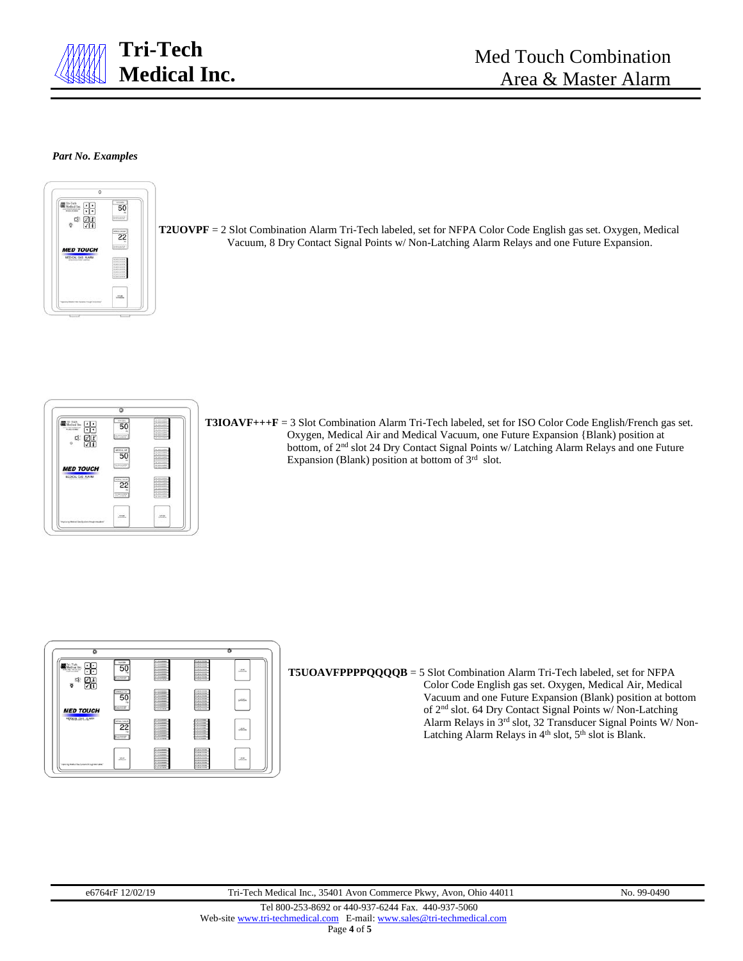

### *Part No. Examples*



**T2UOVPF** = 2 Slot Combination Alarm Tri-Tech labeled, set for NFPA Color Code English gas set. Oxygen, Medical Vacuum, 8 Dry Contact Signal Points w/ Non-Latching Alarm Relays and one Future Expansion.



**T3IOAVF+++F** = 3 Slot Combination Alarm Tri-Tech labeled, set for ISO Color Code English/French gas set. Oxygen, Medical Air and Medical Vacuum, one Future Expansion {Blank) position at bottom, of 2<sup>nd</sup> slot 24 Dry Contact Signal Points w/ Latching Alarm Relays and one Future Expansion (Blank) position at bottom of  $3<sup>rd</sup>$  slot.



**T5UOAVFPPPPQQQQB** = 5 Slot Combination Alarm Tri-Tech labeled, set for NFPA Color Code English gas set. Oxygen, Medical Air, Medical Vacuum and one Future Expansion (Blank) position at bottom of 2nd slot. 64 Dry Contact Signal Points w/ Non-Latching Alarm Relays in 3rd slot, 32 Transducer Signal Points W/ Non-Latching Alarm Relays in 4<sup>th</sup> slot, 5<sup>th</sup> slot is Blank.